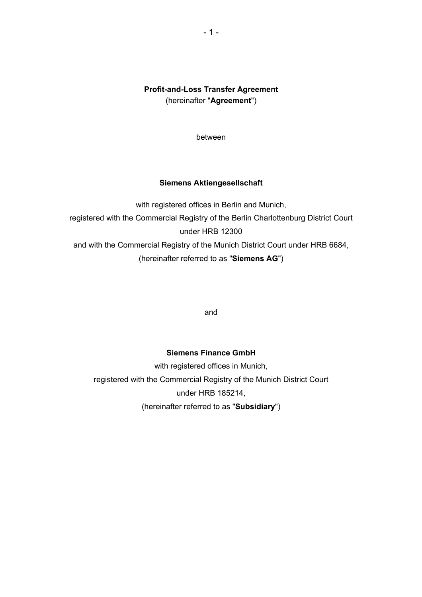# **Profit-and-Loss Transfer Agreement**  (hereinafter "**Agreement**")

between

# **Siemens Aktiengesellschaft**

with registered offices in Berlin and Munich, registered with the Commercial Registry of the Berlin Charlottenburg District Court under HRB 12300 and with the Commercial Registry of the Munich District Court under HRB 6684, (hereinafter referred to as "**Siemens AG**")

and

# **Siemens Finance GmbH**

with registered offices in Munich, registered with the Commercial Registry of the Munich District Court under HRB 185214, (hereinafter referred to as "**Subsidiary**")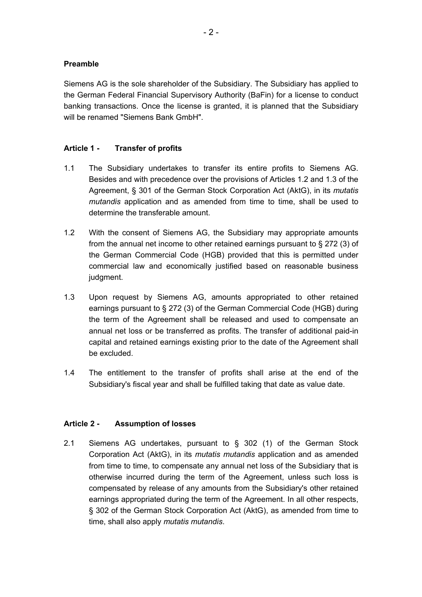### **Preamble**

Siemens AG is the sole shareholder of the Subsidiary. The Subsidiary has applied to the German Federal Financial Supervisory Authority (BaFin) for a license to conduct banking transactions. Once the license is granted, it is planned that the Subsidiary will be renamed "Siemens Bank GmbH".

### **Article 1 - Transfer of profits**

- 1.1 The Subsidiary undertakes to transfer its entire profits to Siemens AG. Besides and with precedence over the provisions of Articles 1.2 and 1.3 of the Agreement, § 301 of the German Stock Corporation Act (AktG), in its *mutatis mutandis* application and as amended from time to time, shall be used to determine the transferable amount.
- 1.2 With the consent of Siemens AG, the Subsidiary may appropriate amounts from the annual net income to other retained earnings pursuant to § 272 (3) of the German Commercial Code (HGB) provided that this is permitted under commercial law and economically justified based on reasonable business judgment.
- 1.3 Upon request by Siemens AG, amounts appropriated to other retained earnings pursuant to § 272 (3) of the German Commercial Code (HGB) during the term of the Agreement shall be released and used to compensate an annual net loss or be transferred as profits. The transfer of additional paid-in capital and retained earnings existing prior to the date of the Agreement shall be excluded.
- 1.4 The entitlement to the transfer of profits shall arise at the end of the Subsidiary's fiscal year and shall be fulfilled taking that date as value date.

#### **Article 2 - Assumption of losses**

2.1 Siemens AG undertakes, pursuant to § 302 (1) of the German Stock Corporation Act (AktG), in its *mutatis mutandis* application and as amended from time to time, to compensate any annual net loss of the Subsidiary that is otherwise incurred during the term of the Agreement, unless such loss is compensated by release of any amounts from the Subsidiary's other retained earnings appropriated during the term of the Agreement. In all other respects, § 302 of the German Stock Corporation Act (AktG), as amended from time to time, shall also apply *mutatis mutandis*.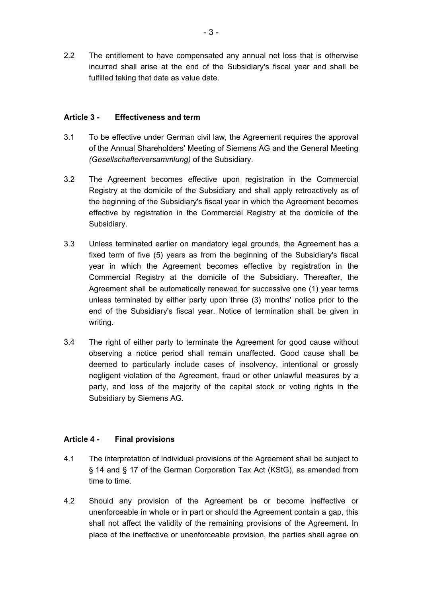2.2 The entitlement to have compensated any annual net loss that is otherwise incurred shall arise at the end of the Subsidiary's fiscal year and shall be fulfilled taking that date as value date.

### **Article 3 - Effectiveness and term**

- 3.1 To be effective under German civil law, the Agreement requires the approval of the Annual Shareholders' Meeting of Siemens AG and the General Meeting *(Gesellschafterversammlung)* of the Subsidiary.
- 3.2 The Agreement becomes effective upon registration in the Commercial Registry at the domicile of the Subsidiary and shall apply retroactively as of the beginning of the Subsidiary's fiscal year in which the Agreement becomes effective by registration in the Commercial Registry at the domicile of the Subsidiary.
- 3.3 Unless terminated earlier on mandatory legal grounds, the Agreement has a fixed term of five (5) years as from the beginning of the Subsidiary's fiscal year in which the Agreement becomes effective by registration in the Commercial Registry at the domicile of the Subsidiary. Thereafter, the Agreement shall be automatically renewed for successive one (1) year terms unless terminated by either party upon three (3) months' notice prior to the end of the Subsidiary's fiscal year. Notice of termination shall be given in writing.
- 3.4 The right of either party to terminate the Agreement for good cause without observing a notice period shall remain unaffected. Good cause shall be deemed to particularly include cases of insolvency, intentional or grossly negligent violation of the Agreement, fraud or other unlawful measures by a party, and loss of the majority of the capital stock or voting rights in the Subsidiary by Siemens AG.

# **Article 4 - Final provisions**

- 4.1 The interpretation of individual provisions of the Agreement shall be subject to § 14 and § 17 of the German Corporation Tax Act (KStG), as amended from time to time.
- 4.2 Should any provision of the Agreement be or become ineffective or unenforceable in whole or in part or should the Agreement contain a gap, this shall not affect the validity of the remaining provisions of the Agreement. In place of the ineffective or unenforceable provision, the parties shall agree on